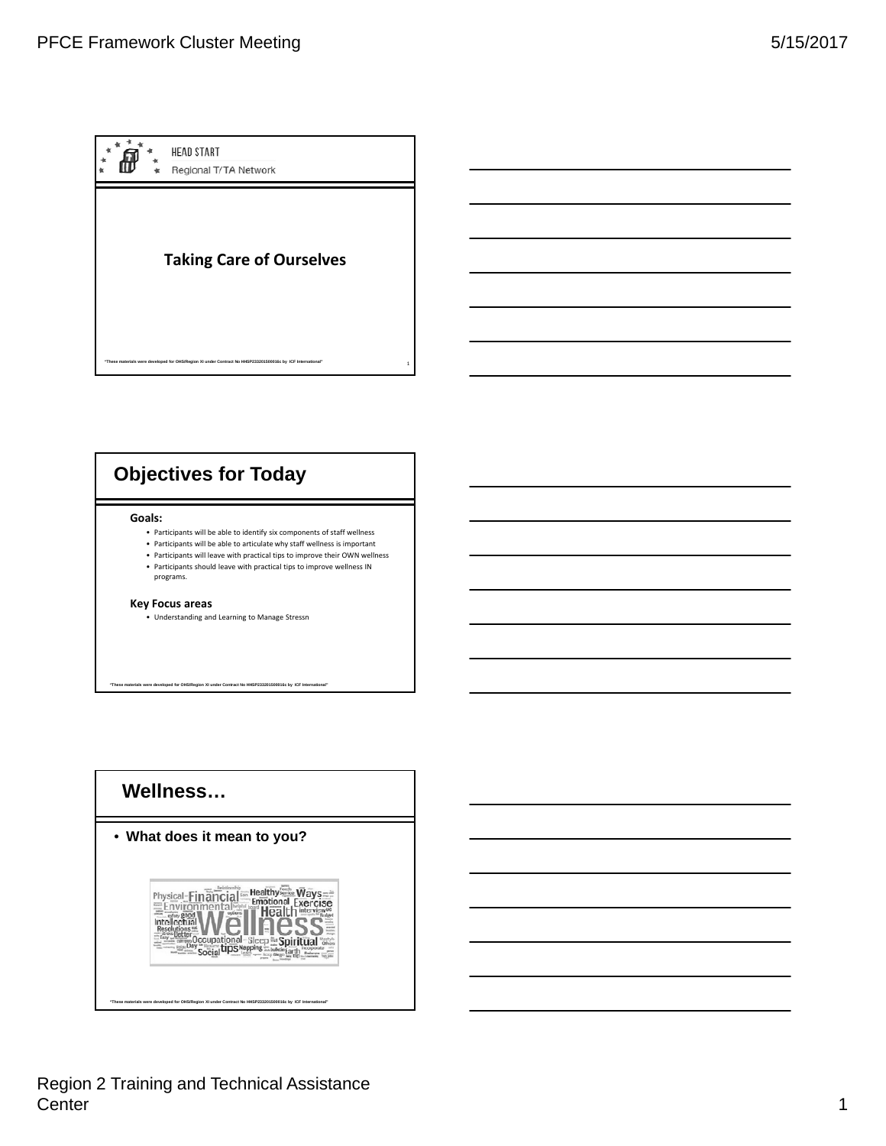

# **Objectives for Today**

#### **Goals:**

- Participants will be able to identify six components of staff wellness
- Participants will be able to articulate why staff wellness is important • Participants will leave with practical tips to improve their OWN wellness
- Participants should leave with practical tips to improve wellness IN programs.

**"These materials were developed for OHS/Region XI under Contract No HHSP233201500016c by ICF International"** 

#### **Key Focus areas**

• Understanding and Learning to Manage Stressn



Region 2 Training and Technical Assistance Center 2008 and 2008 and 2008 and 2008 and 2008 and 2008 and 2008 and 2008 and 2008 and 2008 and 2008 and 2008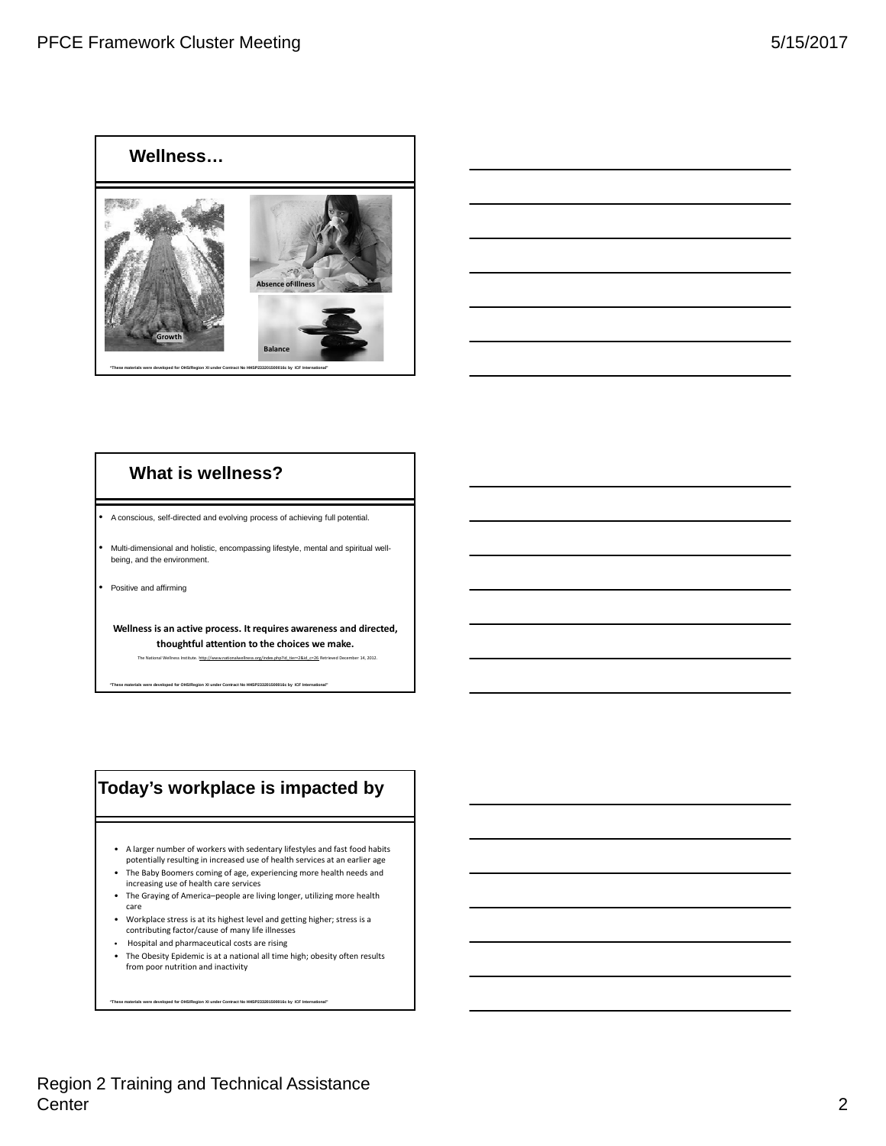



# **What is wellness?**

• A conscious, self-directed and evolving process of achieving full potential.

• Multi-dimensional and holistic, encompassing lifestyle, mental and spiritual wellbeing, and the environment.

• Positive and affirming

**Wellness is an active process. It requires awareness and directed, thoughtful attention to the choices we make.**

The National Wellness Institute. http://www.nationalwellness.org/index.php?id\_tier=2&id\_c=26 Retrieved December 14, 2012.

**"These materials were developed for OHS/Region XI under Contract No HHSP233201500016c by ICF International"** 

# **Today's workplace is impacted by**

- A larger number of workers with sedentary lifestyles and fast food habits potentially resulting in increased use of health services at an earlier age
- The Baby Boomers coming of age, experiencing more health needs and increasing use of health care services
- The Graying of America–people are living longer, utilizing more health care
- Workplace stress is at its highest level and getting higher; stress is a contributing factor/cause of many life illnesses
- Hospital and pharmaceutical costs are rising
- The Obesity Epidemic is at a national all time high; obesity often results from poor nutrition and inactivity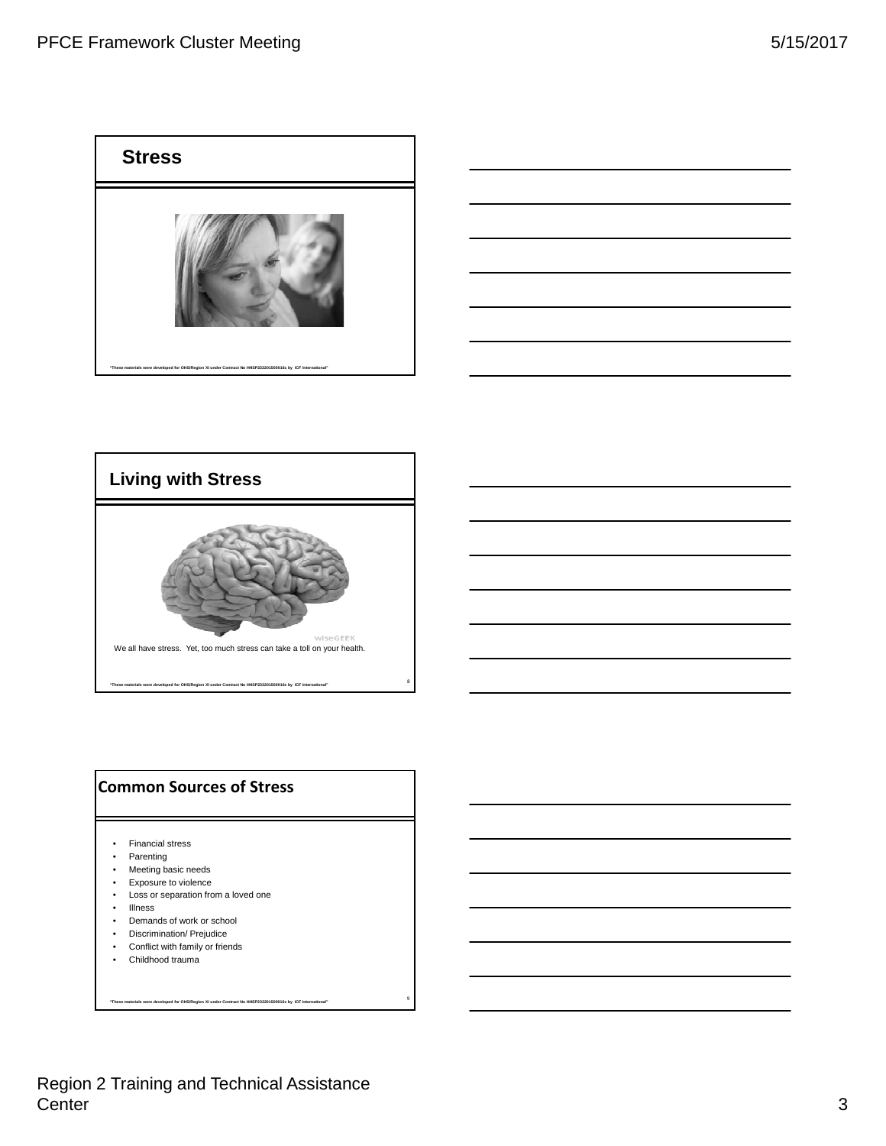





# **Common Sources of Stress**

- Financial stress
- Parenting
- Meeting basic needs
- Exposure to violence
- Loss or separation from a loved one
- Illness
- Demands of work or school
- Discrimination/ Prejudice
- Conflict with family or friends
- Childhood trauma

**"These materials were developed for OHS/Region XI under Contract No HHSP233201500016c by ICF International"** 

9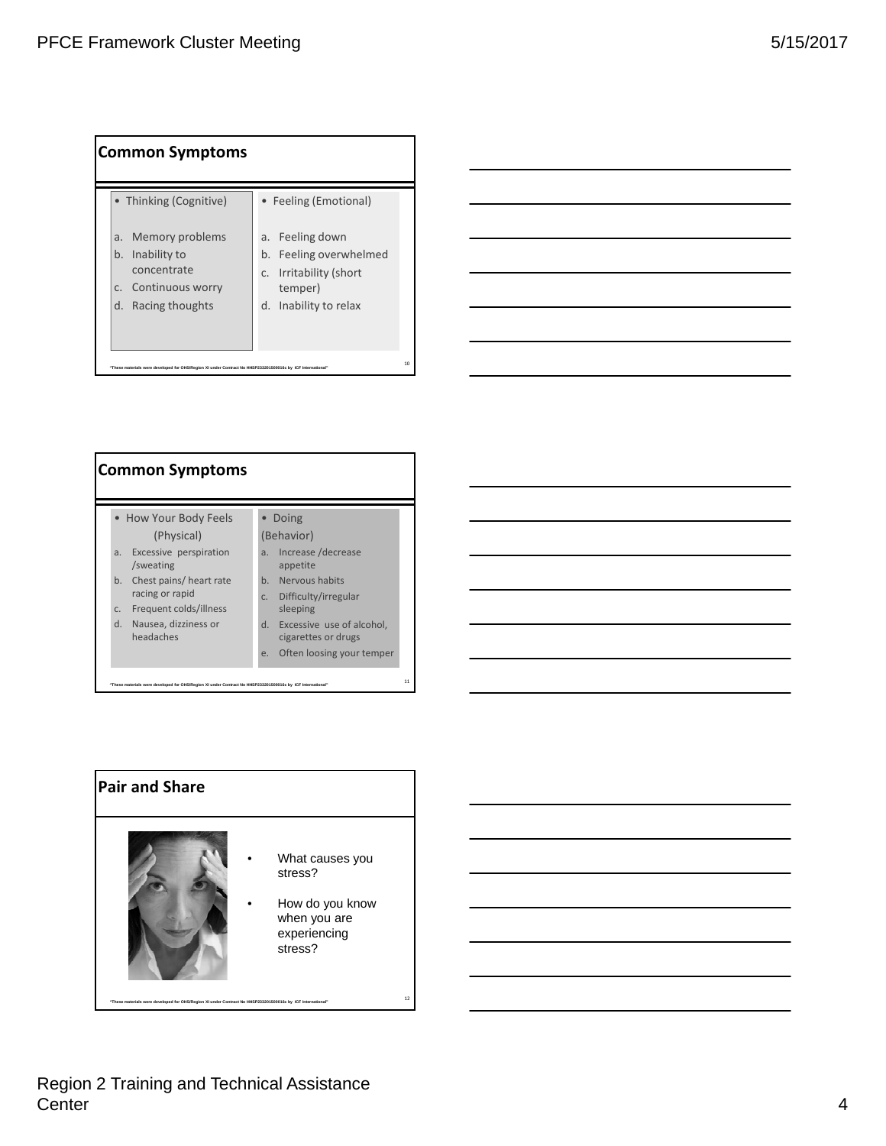| Common Symptoms                                                                                                                      |                                                                                                                                     |
|--------------------------------------------------------------------------------------------------------------------------------------|-------------------------------------------------------------------------------------------------------------------------------------|
| • Thinking (Cognitive)<br>Memory problems<br>a.<br>Inability to<br>b.<br>concentrate<br>c. Continuous worry<br>Racing thoughts<br>d. | • Feeling (Emotional)<br>a. Feeling down<br>b. Feeling overwhelmed<br>Irritability (short<br>C.<br>temper)<br>d. Inability to relax |
| "These materials were developed for OHS/Region XI under Contract No HHSP233201500016c by ICF International"                          | $10^{-1}$                                                                                                                           |

| • How Your Body Feels<br>Doing<br>(Behavior)<br>(Physical)<br>Increase / decrease<br>Excessive perspiration<br>a.<br>a.<br>/sweating<br>appetite<br>Chest pains/ heart rate<br>Nervous habits<br>$h_{-}$<br>b.<br>racing or rapid<br>Difficulty/irregular<br>C.<br>Frequent colds/illness<br>sleeping<br>C <sub>1</sub><br>Excessive use of alcohol,<br>$d_{-}$<br>Nausea, dizziness or<br>$d_{-}$<br>headaches<br>cigarettes or drugs<br>Often loosing your temper<br>e. | Common Symptoms |  |  |  |  |  |
|---------------------------------------------------------------------------------------------------------------------------------------------------------------------------------------------------------------------------------------------------------------------------------------------------------------------------------------------------------------------------------------------------------------------------------------------------------------------------|-----------------|--|--|--|--|--|
|                                                                                                                                                                                                                                                                                                                                                                                                                                                                           |                 |  |  |  |  |  |



# Region 2 Training and Technical Assistance Center **4**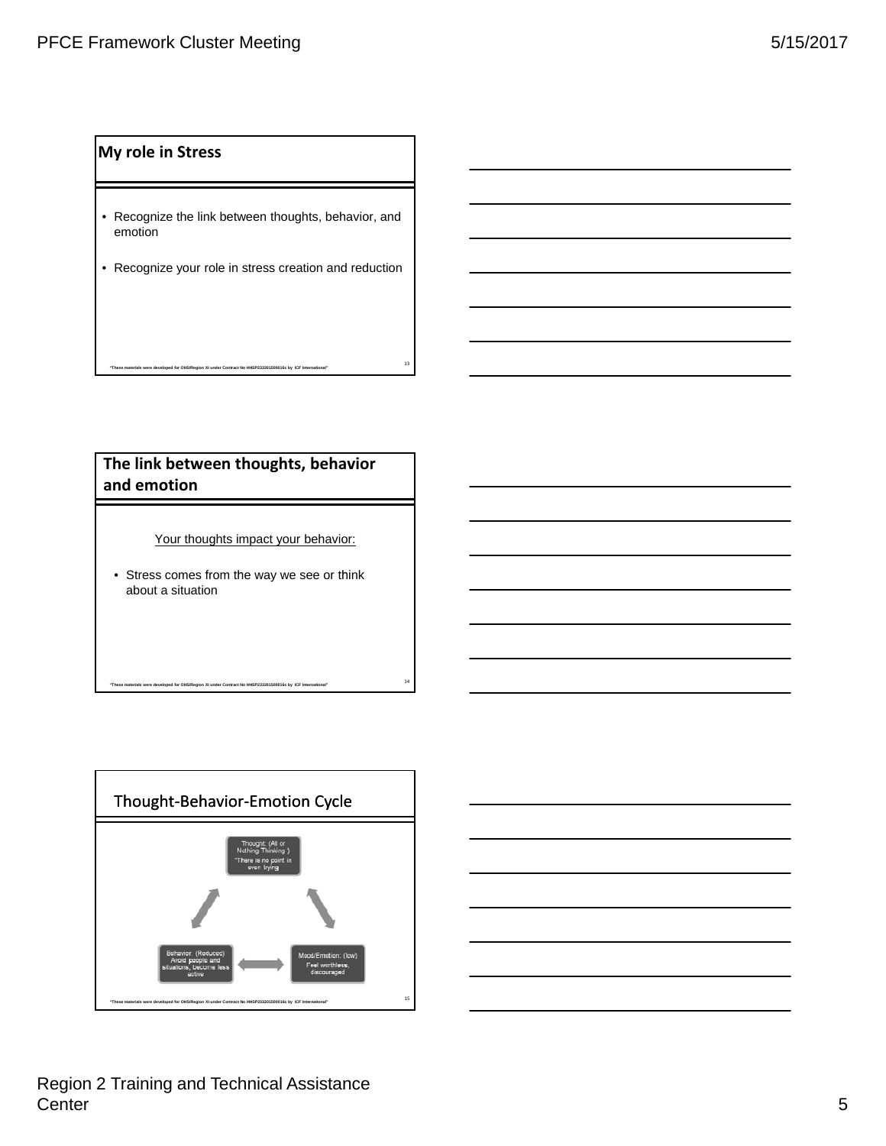#### **My role in Stress**

- Recognize the link between thoughts, behavior, and emotion
- Recognize your role in stress creation and reduction

# **The link between thoughts, behavior and emotion**

<sup>13</sup> **"These materials were developed for OHS/Region XI under Contract No HHSP233201500016c by ICF International"** 

Your thoughts impact your behavior:

<sup>14</sup> **"These materials were developed for OHS/Region XI under Contract No HHSP233201500016c by ICF International"** 

• Stress comes from the way we see or think about a situation



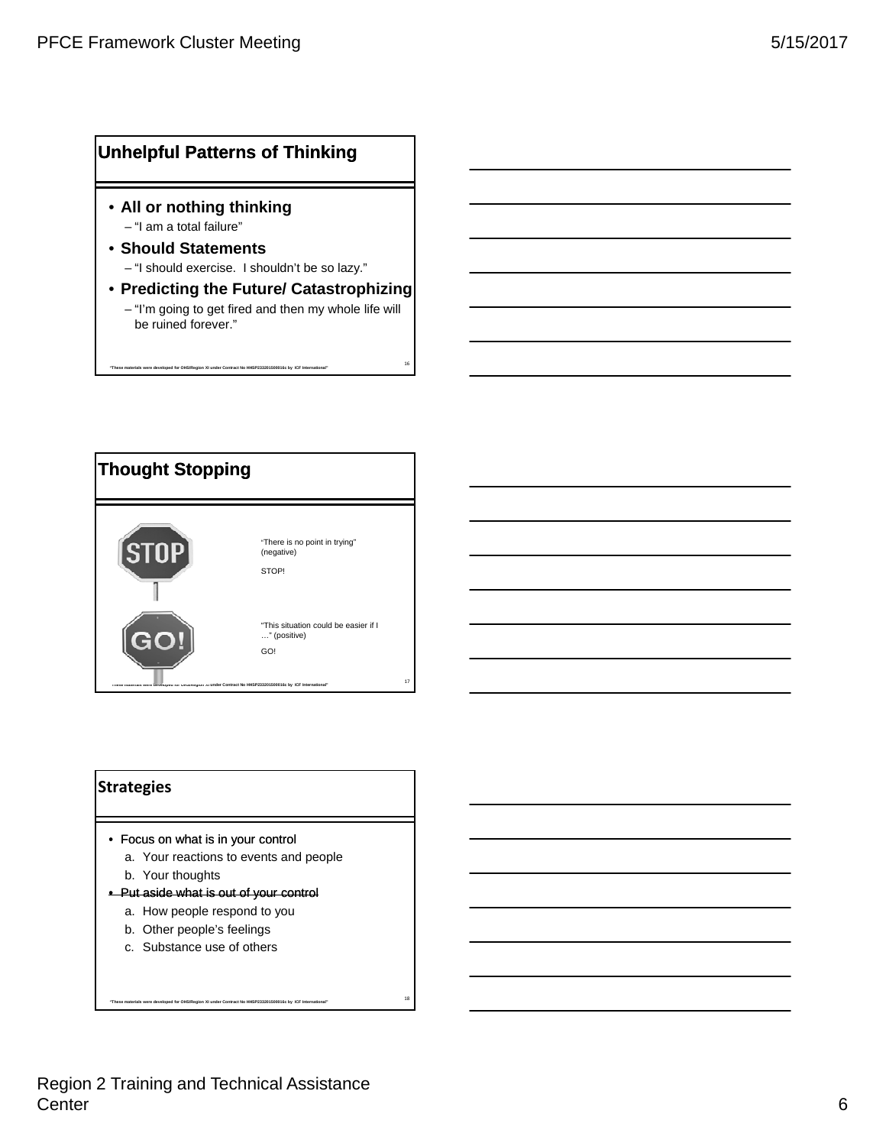#### **Unhelpful Patterns of Thinking**

- **All or nothing thinking** – "I am a total failure"
- **Should Statements** – "I should exercise. I shouldn't be so lazy."

en XI under Contract No HHSP233

• **Predicting the Future/ Catastrophizing** – "I'm going to get fired and then my whole life will be ruined forever."



#### **Strategies**

- Focus on what is in your control
	- a. Your reactions to events and people

- b. Your thoughts
- Put aside what is out of your control
	- a. How people respond to you
	- b. Other people's feelings
	- c. Substance use of others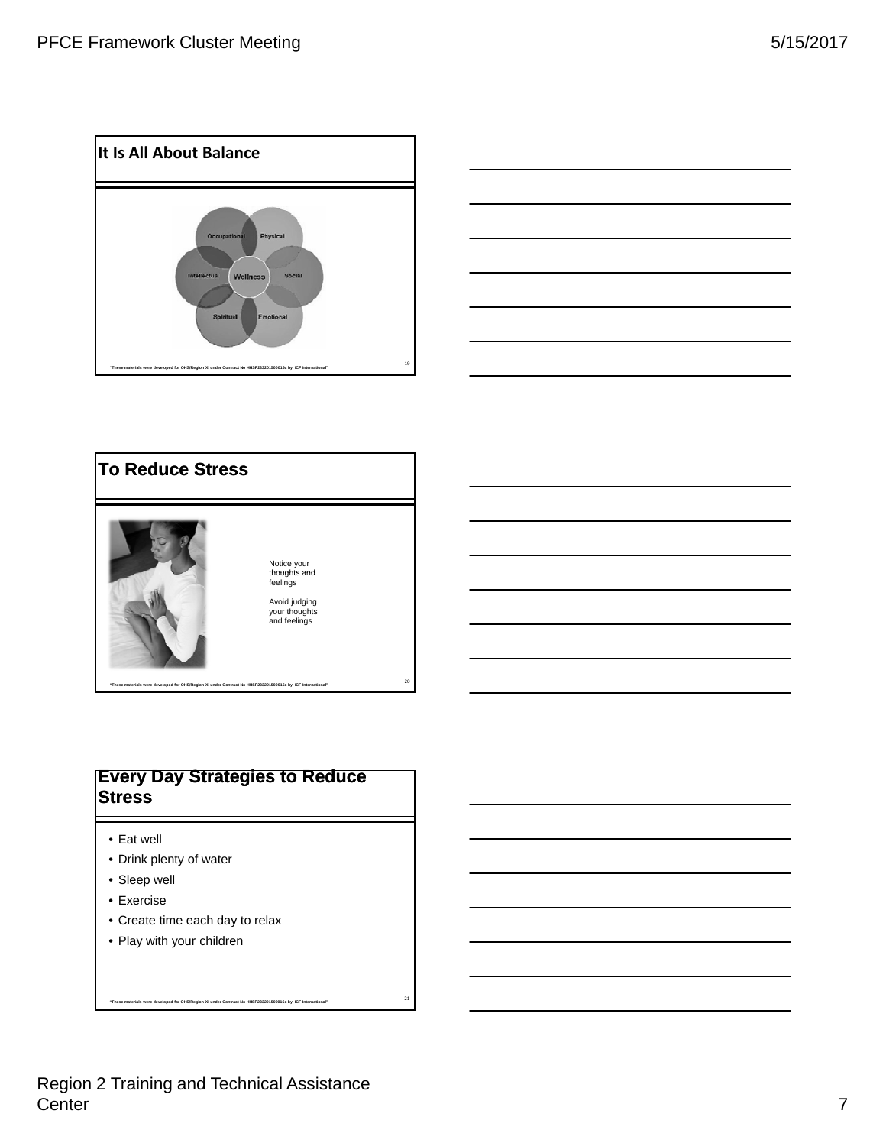





#### **Every Day Strategies to Reduce Stress**

- Eat well
- Drink plenty of water
- Sleep well
- Exercise
- Create time each day to relax
- Play with your children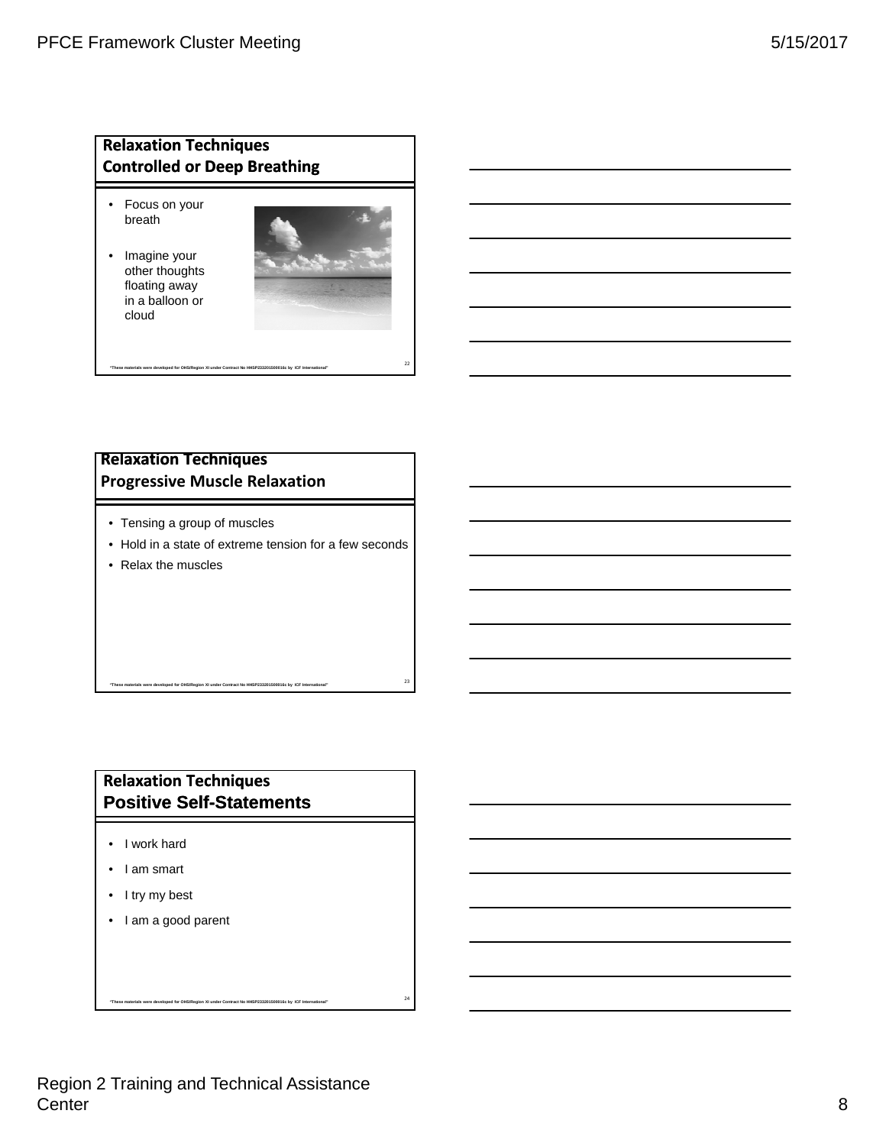#### **Relaxation Techniques Controlled or Deep Breathing**

- Focus on your breath
- Imagine your other thoughts floating away in a balloon or cloud



#### **Relaxation Techniques Progressive Muscle Relaxation**

- Tensing a group of muscles
- Hold in a state of extreme tension for a few seconds

<sup>23</sup> **"These materials were developed for OHS/Region XI under Contract No HHSP233201500016c by ICF International"** 

<sup>22</sup> **"These materials were developed for OHS/Region XI under Contract No HHSP233201500016c by ICF International"** 

• Relax the muscles

# **Relaxation Techniques Positive Self-Statements**

- I work hard
- I am smart
- I try my best
- I am a good parent